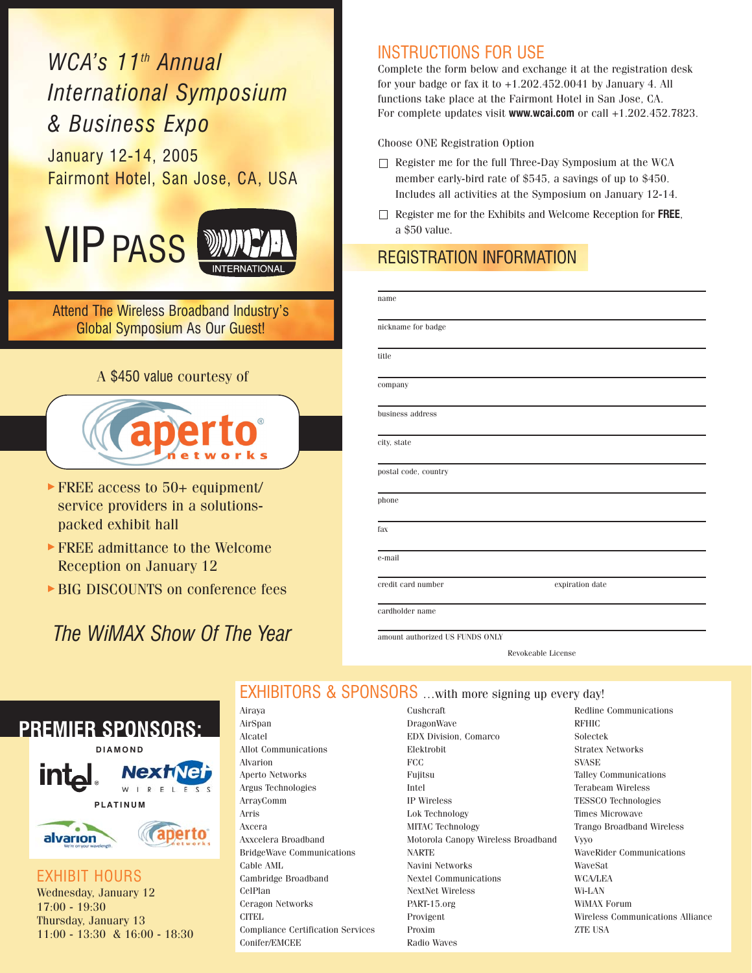# *WCA's 11th Annual International Symposium & Business Expo*

January 12-14, 2005 Fairmont Hotel, San Jose, CA, USA





Attend The Wireless Broadband Industry's Global Symposium As Our Guest!

### A \$450 value courtesy of



- FREE access to 50+ equipment/ service providers in a solutionspacked exhibit hall
- FREE admittance to the Welcome Reception on January 12
- BIG DISCOUNTS on conference fees

# *The WiMAX Show Of The Year*

## INSTRUCTIONS FOR USE

Complete the form below and exchange it at the registration desk for your badge or fax it to  $+1.202.452.0041$  by January 4. All functions take place at the Fairmont Hotel in San Jose, CA. For complete updates visit **www.wcai.com** or call +1.202.452.7823.

Choose ONE Registration Option

- Register me for the full Three-Day Symposium at the WCA member early-bird rate of \$545, a savings of up to \$450. Includes all activities at the Symposium on January 12-14.
- Register me for the Exhibits and Welcome Reception for **FREE**, a \$50 value.

## REGISTRATION INFORMATION

| name                 |                 |  |
|----------------------|-----------------|--|
| nickname for badge   |                 |  |
| title                |                 |  |
| company              |                 |  |
| business address     |                 |  |
| city, state          |                 |  |
| postal code, country |                 |  |
| phone                |                 |  |
| fax                  |                 |  |
| e-mail               |                 |  |
| credit card number   | expiration date |  |

amount authorized US FUNDS ONLY

Revokeable License

## EXHIBITORS & SPONSORS …with more signing up every day!



EXHIBIT HOURS Wednesday, January 12 17:00 - 19:30 Thursday, January 13 11:00 - 13:30 & 16:00 - 18:30 Airaya AirSpan Alcatel Allot Communications Alvarion Aperto Networks Argus Technologies ArrayComm Arris Axcera Axxcelera Broadband BridgeWave Communications Cable AML Cambridge Broadband CelPlan Ceragon Networks CITEL Compliance Certification Services Conifer/EMCEE

Cushcraft DragonWave EDX Division, Comarco Elektrobit FCC Fujitsu Intel IP Wireless Lok Technology MITAC Technology Motorola Canopy Wireless Broadband NARTE Navini Networks Nextel Communications NextNet Wireless PART-15.org Provigent Proxim Radio Waves

Redline Communications RFHIC Solectek Stratex Networks SVASE Talley Communications Terabeam Wireless TESSCO Technologies Times Microwave Trango Broadband Wireless Vyyo WaveRider Communications WaveSat WCA/LEA Wi-LAN WiMAX Forum Wireless Communications Alliance ZTE USA